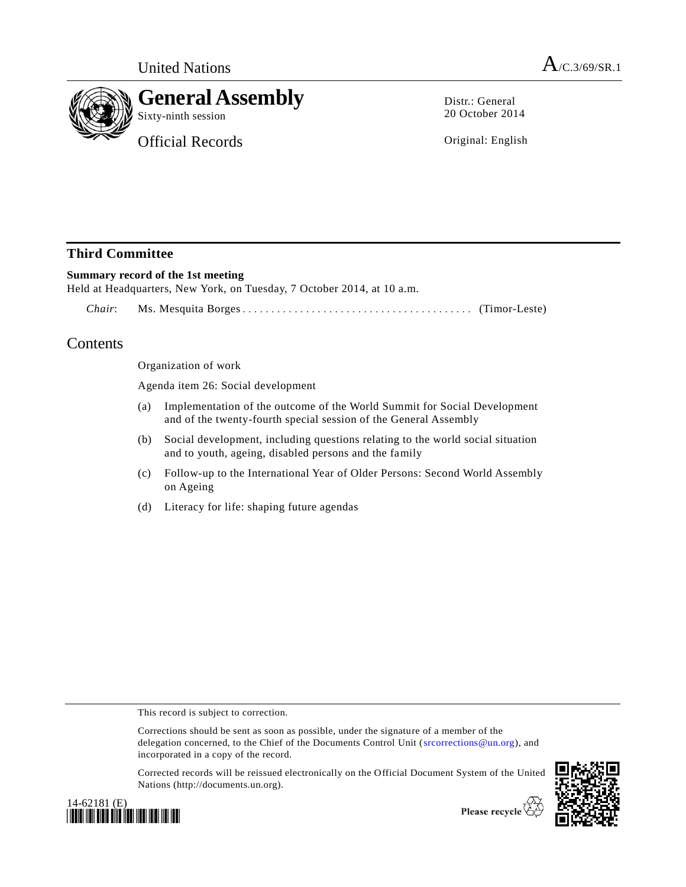

Distr.: General 20 October 2014

Original: English

## **Third Committee**

### **Summary record of the 1st meeting**

Held at Headquarters, New York, on Tuesday, 7 October 2014, at 10 a.m.

*Chair*: Ms. Mesquita Borges ................................ ........ (Timor-Leste)

# Contents

Organization of work

Agenda item 26: Social development

- (a) Implementation of the outcome of the World Summit for Social Development and of the twenty-fourth special session of the General Assembly
- (b) Social development, including questions relating to the world social situation and to youth, ageing, disabled persons and the family
- (c) Follow-up to the International Year of Older Persons: Second World Assembly on Ageing
- (d) Literacy for life: shaping future agendas

This record is subject to correction.

Corrections should be sent as soon as possible, under the signature of a member of the delegation concerned, to the Chief of the Documents Control Unit [\(srcorrections@un.org\)](mailto:srcorrections@un.org), and incorporated in a copy of the record.

Corrected records will be reissued electronically on the Official Document System of the United Nations (http://documents.un.org).





Please recycle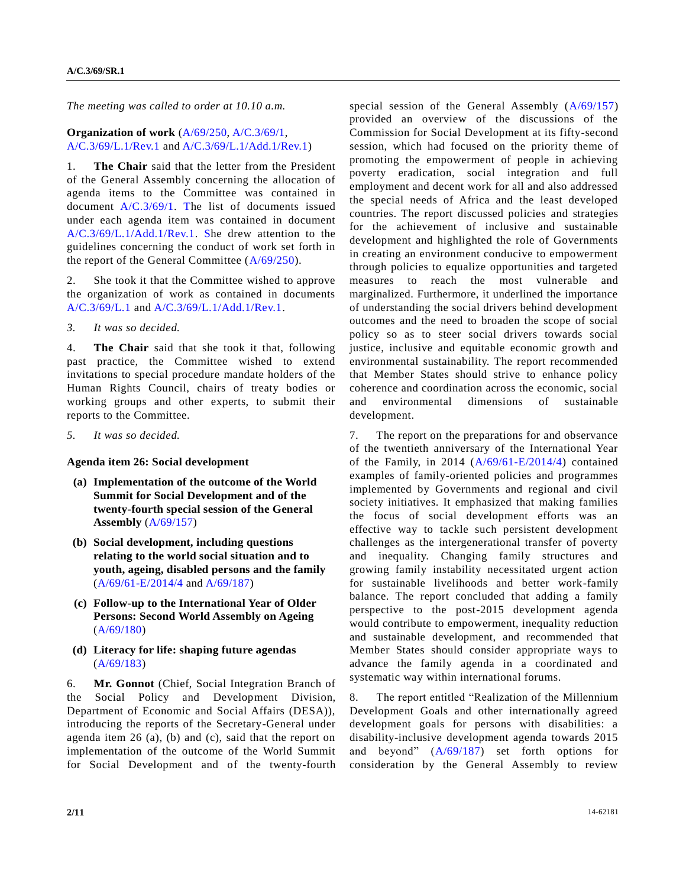*The meeting was called to order at 10.10 a.m.*

#### **Organization of work** [\(A/69/250,](http://undocs.org/A/69/250) [A/C.3/69/1,](http://undocs.org/A/C.3/69/1) [A/C.3/69/L.1/Rev.1](http://undocs.org/A/C.3/69/L.1/Rev.1) and [A/C.3/69/L.1/Add.1/Rev.1\)](http://undocs.org/A/C.3/69/L.1/Add.1/Rev.1)

1. **The Chair** said that the letter from the President of the General Assembly concerning the allocation of agenda items to the Committee was contained in document [A/C.3/69/1.](http://undocs.org/A/C.3/69/1) [Th](http://undocs.org/A/C.3/69/1..)e list of documents issued under each agenda item was contained in document [A/C.3/69/L.1/Add.1/Rev.1.](http://undocs.org/A/C.3/69/L.1/Add.1/Rev.1) [Sh](http://undocs.org/A/C.3/69/L.1/Add.1/Rev.1..)e drew attention to the guidelines concerning the conduct of work set forth in the report of the General Committee [\(A/69/250\)](http://undocs.org/A/69/250).

2. She took it that the Committee wished to approve the organization of work as contained in documents [A/C.3/69/L.1](http://undocs.org/A/C.3/69/L.1) and [A/C.3/69/L.1/Add.1/Rev.1.](http://undocs.org/A/C.3/69/L.1/Add.1/Rev.1)

*3. It was so decided.*

4. **The Chair** said that she took it that, following past practice, the Committee wished to extend invitations to special procedure mandate holders of the Human Rights Council, chairs of treaty bodies or working groups and other experts, to submit their reports to the Committee.

*5. It was so decided.* 

#### **Agenda item 26: Social development**

- **(a) Implementation of the outcome of the World Summit for Social Development and of the twenty-fourth special session of the General Assembly** [\(A/69/157\)](http://undocs.org/A/69/157)
- **(b) Social development, including questions relating to the world social situation and to youth, ageing, disabled persons and the family**  [\(A/69/61-E/2014/4](http://undocs.org/A/69/61) an[d A/69/187\)](http://undocs.org/A/69/187)
- **(c) Follow-up to the International Year of Older Persons: Second World Assembly on Ageing**  [\(A/69/180\)](http://undocs.org/A/69/180)
- **(d) Literacy for life: shaping future agendas**  [\(A/69/183\)](http://undocs.org/A/69/183)

6. **Mr. Gonnot** (Chief, Social Integration Branch of the Social Policy and Development Division, Department of Economic and Social Affairs (DESA)), introducing the reports of the Secretary-General under agenda item 26 (a), (b) and (c), said that the report on implementation of the outcome of the World Summit for Social Development and of the twenty-fourth

special session of the General Assembly  $(A/69/157)$ provided an overview of the discussions of the Commission for Social Development at its fifty-second session, which had focused on the priority theme of promoting the empowerment of people in achieving poverty eradication, social integration and full employment and decent work for all and also addressed the special needs of Africa and the least developed countries. The report discussed policies and strategies for the achievement of inclusive and sustainable development and highlighted the role of Governments in creating an environment conducive to empowerment through policies to equalize opportunities and targeted measures to reach the most vulnerable and marginalized. Furthermore, it underlined the importance of understanding the social drivers behind development outcomes and the need to broaden the scope of social policy so as to steer social drivers towards social justice, inclusive and equitable economic growth and environmental sustainability. The report recommended that Member States should strive to enhance policy coherence and coordination across the economic, social and environmental dimensions of sustainable development.

7. The report on the preparations for and observance of the twentieth anniversary of the International Year of the Family, in 2014  $(A/69/61-E/2014/4)$  contained examples of family-oriented policies and programmes implemented by Governments and regional and civil society initiatives. It emphasized that making families the focus of social development efforts was an effective way to tackle such persistent development challenges as the intergenerational transfer of poverty and inequality. Changing family structures and growing family instability necessitated urgent action for sustainable livelihoods and better work-family balance. The report concluded that adding a family perspective to the post-2015 development agenda would contribute to empowerment, inequality reduction and sustainable development, and recommended that Member States should consider appropriate ways to advance the family agenda in a coordinated and systematic way within international forums.

8. The report entitled "Realization of the Millennium Development Goals and other internationally agreed development goals for persons with disabilities: a disability-inclusive development agenda towards 2015 and beyond" [\(A/69/187\)](http://undocs.org/A/69/187) set forth options for consideration by the General Assembly to review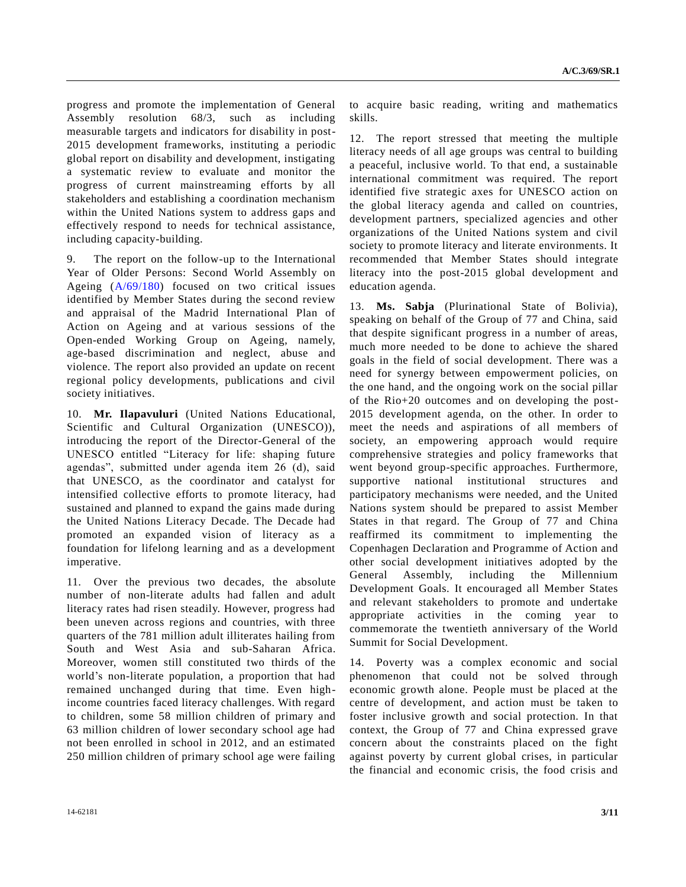progress and promote the implementation of General Assembly resolution 68/3, such as including measurable targets and indicators for disability in post-2015 development frameworks, instituting a periodic global report on disability and development, instigating a systematic review to evaluate and monitor the progress of current mainstreaming efforts by all stakeholders and establishing a coordination mechanism within the United Nations system to address gaps and effectively respond to needs for technical assistance, including capacity-building.

9. The report on the follow-up to the International Year of Older Persons: Second World Assembly on Ageing [\(A/69/180\)](http://undocs.org/A/69/180) focused on two critical issues identified by Member States during the second review and appraisal of the Madrid International Plan of Action on Ageing and at various sessions of the Open-ended Working Group on Ageing, namely, age-based discrimination and neglect, abuse and violence. The report also provided an update on recent regional policy developments, publications and civil society initiatives.

10. **Mr. Ilapavuluri** (United Nations Educational, Scientific and Cultural Organization (UNESCO)), introducing the report of the Director-General of the UNESCO entitled "Literacy for life: shaping future agendas", submitted under agenda item 26 (d), said that UNESCO, as the coordinator and catalyst for intensified collective efforts to promote literacy, had sustained and planned to expand the gains made during the United Nations Literacy Decade. The Decade had promoted an expanded vision of literacy as a foundation for lifelong learning and as a development imperative.

11. Over the previous two decades, the absolute number of non-literate adults had fallen and adult literacy rates had risen steadily. However, progress had been uneven across regions and countries, with three quarters of the 781 million adult illiterates hailing from South and West Asia and sub-Saharan Africa. Moreover, women still constituted two thirds of the world's non-literate population, a proportion that had remained unchanged during that time. Even highincome countries faced literacy challenges. With regard to children, some 58 million children of primary and 63 million children of lower secondary school age had not been enrolled in school in 2012, and an estimated 250 million children of primary school age were failing

to acquire basic reading, writing and mathematics skills.

12. The report stressed that meeting the multiple literacy needs of all age groups was central to building a peaceful, inclusive world. To that end, a sustainable international commitment was required. The report identified five strategic axes for UNESCO action on the global literacy agenda and called on countries, development partners, specialized agencies and other organizations of the United Nations system and civil society to promote literacy and literate environments. It recommended that Member States should integrate literacy into the post-2015 global development and education agenda.

13. **Ms. Sabja** (Plurinational State of Bolivia), speaking on behalf of the Group of 77 and China, said that despite significant progress in a number of areas, much more needed to be done to achieve the shared goals in the field of social development. There was a need for synergy between empowerment policies, on the one hand, and the ongoing work on the social pillar of the Rio+20 outcomes and on developing the post-2015 development agenda, on the other. In order to meet the needs and aspirations of all members of society, an empowering approach would require comprehensive strategies and policy frameworks that went beyond group-specific approaches. Furthermore, supportive national institutional structures and participatory mechanisms were needed, and the United Nations system should be prepared to assist Member States in that regard. The Group of 77 and China reaffirmed its commitment to implementing the Copenhagen Declaration and Programme of Action and other social development initiatives adopted by the General Assembly, including the Millennium Development Goals. It encouraged all Member States and relevant stakeholders to promote and undertake appropriate activities in the coming year to commemorate the twentieth anniversary of the World Summit for Social Development.

14. Poverty was a complex economic and social phenomenon that could not be solved through economic growth alone. People must be placed at the centre of development, and action must be taken to foster inclusive growth and social protection. In that context, the Group of 77 and China expressed grave concern about the constraints placed on the fight against poverty by current global crises, in particular the financial and economic crisis, the food crisis and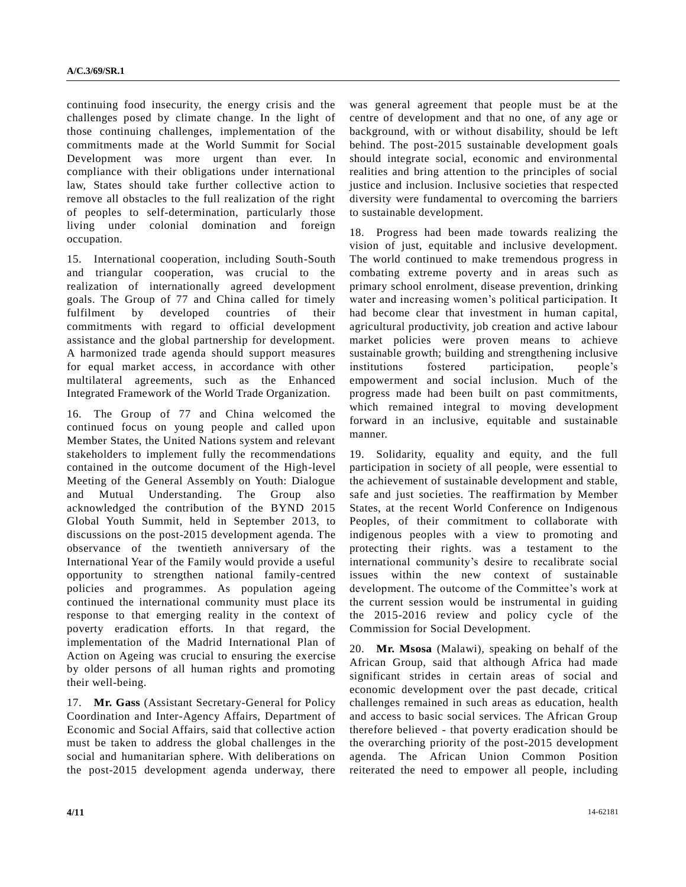continuing food insecurity, the energy crisis and the challenges posed by climate change. In the light of those continuing challenges, implementation of the commitments made at the World Summit for Social Development was more urgent than ever. In compliance with their obligations under international law, States should take further collective action to remove all obstacles to the full realization of the right of peoples to self-determination, particularly those living under colonial domination and foreign occupation.

15. International cooperation, including South-South and triangular cooperation, was crucial to the realization of internationally agreed development goals. The Group of 77 and China called for timely fulfilment by developed countries of their commitments with regard to official development assistance and the global partnership for development. A harmonized trade agenda should support measures for equal market access, in accordance with other multilateral agreements, such as the Enhanced Integrated Framework of the World Trade Organization.

16. The Group of 77 and China welcomed the continued focus on young people and called upon Member States, the United Nations system and relevant stakeholders to implement fully the recommendations contained in the outcome document of the High-level Meeting of the General Assembly on Youth: Dialogue and Mutual Understanding. The Group also acknowledged the contribution of the BYND 2015 Global Youth Summit, held in September 2013, to discussions on the post-2015 development agenda. The observance of the twentieth anniversary of the International Year of the Family would provide a useful opportunity to strengthen national family-centred policies and programmes. As population ageing continued the international community must place its response to that emerging reality in the context of poverty eradication efforts. In that regard, the implementation of the Madrid International Plan of Action on Ageing was crucial to ensuring the exercise by older persons of all human rights and promoting their well-being.

17. **Mr. Gass** (Assistant Secretary-General for Policy Coordination and Inter-Agency Affairs, Department of Economic and Social Affairs, said that collective action must be taken to address the global challenges in the social and humanitarian sphere. With deliberations on the post-2015 development agenda underway, there

was general agreement that people must be at the centre of development and that no one, of any age or background, with or without disability, should be left behind. The post-2015 sustainable development goals should integrate social, economic and environmental realities and bring attention to the principles of social justice and inclusion. Inclusive societies that respected diversity were fundamental to overcoming the barriers to sustainable development.

18. Progress had been made towards realizing the vision of just, equitable and inclusive development. The world continued to make tremendous progress in combating extreme poverty and in areas such as primary school enrolment, disease prevention, drinking water and increasing women's political participation. It had become clear that investment in human capital, agricultural productivity, job creation and active labour market policies were proven means to achieve sustainable growth; building and strengthening inclusive institutions fostered participation, people's empowerment and social inclusion. Much of the progress made had been built on past commitments, which remained integral to moving development forward in an inclusive, equitable and sustainable manner.

19. Solidarity, equality and equity, and the full participation in society of all people, were essential to the achievement of sustainable development and stable, safe and just societies. The reaffirmation by Member States, at the recent World Conference on Indigenous Peoples, of their commitment to collaborate with indigenous peoples with a view to promoting and protecting their rights. was a testament to the international community's desire to recalibrate social issues within the new context of sustainable development. The outcome of the Committee's work at the current session would be instrumental in guiding the 2015-2016 review and policy cycle of the Commission for Social Development.

20. **Mr. Msosa** (Malawi), speaking on behalf of the African Group, said that although Africa had made significant strides in certain areas of social and economic development over the past decade, critical challenges remained in such areas as education, health and access to basic social services. The African Group therefore believed - that poverty eradication should be the overarching priority of the post-2015 development agenda. The African Union Common Position reiterated the need to empower all people, including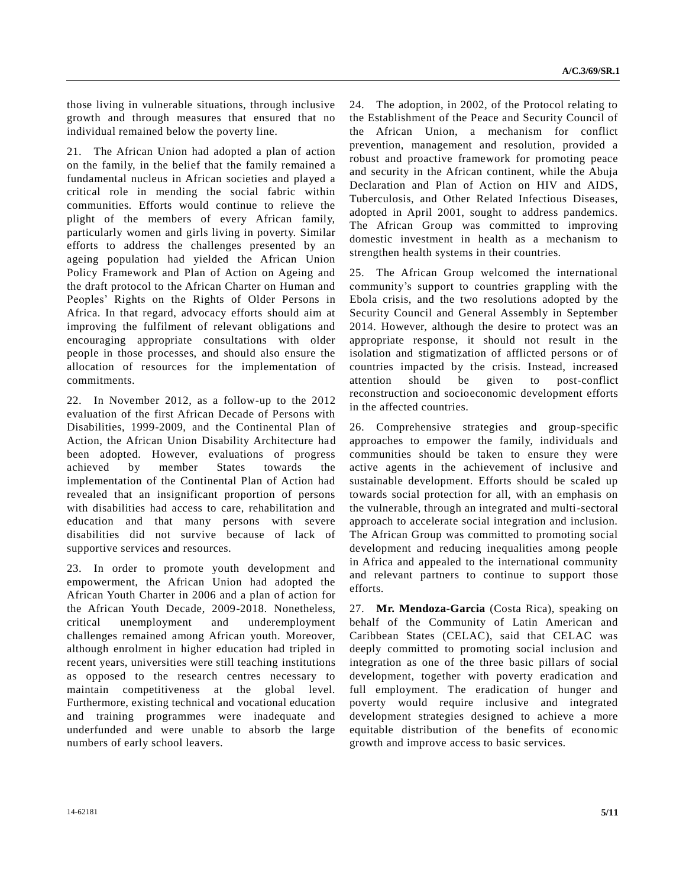those living in vulnerable situations, through inclusive growth and through measures that ensured that no individual remained below the poverty line.

21. The African Union had adopted a plan of action on the family, in the belief that the family remained a fundamental nucleus in African societies and played a critical role in mending the social fabric within communities. Efforts would continue to relieve the plight of the members of every African family, particularly women and girls living in poverty. Similar efforts to address the challenges presented by an ageing population had yielded the African Union Policy Framework and Plan of Action on Ageing and the draft protocol to the African Charter on Human and Peoples' Rights on the Rights of Older Persons in Africa. In that regard, advocacy efforts should aim at improving the fulfilment of relevant obligations and encouraging appropriate consultations with older people in those processes, and should also ensure the allocation of resources for the implementation of commitments.

22. In November 2012, as a follow-up to the 2012 evaluation of the first African Decade of Persons with Disabilities, 1999-2009, and the Continental Plan of Action, the African Union Disability Architecture had been adopted. However, evaluations of progress achieved by member States towards the implementation of the Continental Plan of Action had revealed that an insignificant proportion of persons with disabilities had access to care, rehabilitation and education and that many persons with severe disabilities did not survive because of lack of supportive services and resources.

23. In order to promote youth development and empowerment, the African Union had adopted the African Youth Charter in 2006 and a plan of action for the African Youth Decade, 2009-2018. Nonetheless, critical unemployment and underemployment challenges remained among African youth. Moreover, although enrolment in higher education had tripled in recent years, universities were still teaching institutions as opposed to the research centres necessary to maintain competitiveness at the global level. Furthermore, existing technical and vocational education and training programmes were inadequate and underfunded and were unable to absorb the large numbers of early school leavers.

24. The adoption, in 2002, of the Protocol relating to the Establishment of the Peace and Security Council of the African Union, a mechanism for conflict prevention, management and resolution, provided a robust and proactive framework for promoting peace and security in the African continent, while the Abuja Declaration and Plan of Action on HIV and AIDS, Tuberculosis, and Other Related Infectious Diseases, adopted in April 2001, sought to address pandemics. The African Group was committed to improving domestic investment in health as a mechanism to strengthen health systems in their countries.

25. The African Group welcomed the international community's support to countries grappling with the Ebola crisis, and the two resolutions adopted by the Security Council and General Assembly in September 2014. However, although the desire to protect was an appropriate response, it should not result in the isolation and stigmatization of afflicted persons or of countries impacted by the crisis. Instead, increased attention should be given to post-conflict reconstruction and socioeconomic development efforts in the affected countries.

26. Comprehensive strategies and group-specific approaches to empower the family, individuals and communities should be taken to ensure they were active agents in the achievement of inclusive and sustainable development. Efforts should be scaled up towards social protection for all, with an emphasis on the vulnerable, through an integrated and multi-sectoral approach to accelerate social integration and inclusion. The African Group was committed to promoting social development and reducing inequalities among people in Africa and appealed to the international community and relevant partners to continue to support those efforts.

27. **Mr. Mendoza-Garcia** (Costa Rica), speaking on behalf of the Community of Latin American and Caribbean States (CELAC), said that CELAC was deeply committed to promoting social inclusion and integration as one of the three basic pillars of social development, together with poverty eradication and full employment. The eradication of hunger and poverty would require inclusive and integrated development strategies designed to achieve a more equitable distribution of the benefits of economic growth and improve access to basic services.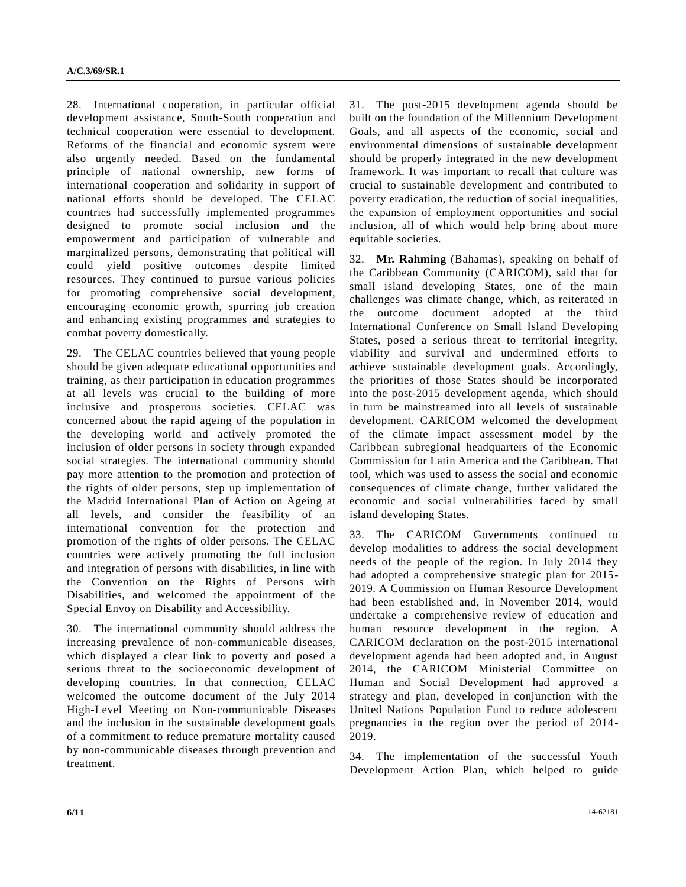28. International cooperation, in particular official development assistance, South-South cooperation and technical cooperation were essential to development. Reforms of the financial and economic system were also urgently needed. Based on the fundamental principle of national ownership, new forms of international cooperation and solidarity in support of national efforts should be developed. The CELAC countries had successfully implemented programmes designed to promote social inclusion and the empowerment and participation of vulnerable and marginalized persons, demonstrating that political will could yield positive outcomes despite limited resources. They continued to pursue various policies for promoting comprehensive social development, encouraging economic growth, spurring job creation and enhancing existing programmes and strategies to combat poverty domestically.

29. The CELAC countries believed that young people should be given adequate educational opportunities and training, as their participation in education programmes at all levels was crucial to the building of more inclusive and prosperous societies. CELAC was concerned about the rapid ageing of the population in the developing world and actively promoted the inclusion of older persons in society through expanded social strategies. The international community should pay more attention to the promotion and protection of the rights of older persons, step up implementation of the Madrid International Plan of Action on Ageing at all levels, and consider the feasibility of an international convention for the protection and promotion of the rights of older persons. The CELAC countries were actively promoting the full inclusion and integration of persons with disabilities, in line with the Convention on the Rights of Persons with Disabilities, and welcomed the appointment of the Special Envoy on Disability and Accessibility.

30. The international community should address the increasing prevalence of non-communicable diseases, which displayed a clear link to poverty and posed a serious threat to the socioeconomic development of developing countries. In that connection, CELAC welcomed the outcome document of the July 2014 High-Level Meeting on Non-communicable Diseases and the inclusion in the sustainable development goals of a commitment to reduce premature mortality caused by non-communicable diseases through prevention and treatment.

31. The post-2015 development agenda should be built on the foundation of the Millennium Development Goals, and all aspects of the economic, social and environmental dimensions of sustainable development should be properly integrated in the new development framework. It was important to recall that culture was crucial to sustainable development and contributed to poverty eradication, the reduction of social inequalities, the expansion of employment opportunities and social inclusion, all of which would help bring about more equitable societies.

32. **Mr. Rahming** (Bahamas), speaking on behalf of the Caribbean Community (CARICOM), said that for small island developing States, one of the main challenges was climate change, which, as reiterated in the outcome document adopted at the third International Conference on Small Island Developing States, posed a serious threat to territorial integrity, viability and survival and undermined efforts to achieve sustainable development goals. Accordingly, the priorities of those States should be incorporated into the post-2015 development agenda, which should in turn be mainstreamed into all levels of sustainable development. CARICOM welcomed the development of the climate impact assessment model by the Caribbean subregional headquarters of the Economic Commission for Latin America and the Caribbean. That tool, which was used to assess the social and economic consequences of climate change, further validated the economic and social vulnerabilities faced by small island developing States.

33. The CARICOM Governments continued to develop modalities to address the social development needs of the people of the region. In July 2014 they had adopted a comprehensive strategic plan for 2015- 2019. A Commission on Human Resource Development had been established and, in November 2014, would undertake a comprehensive review of education and human resource development in the region. A CARICOM declaration on the post-2015 international development agenda had been adopted and, in August 2014, the CARICOM Ministerial Committee on Human and Social Development had approved a strategy and plan, developed in conjunction with the United Nations Population Fund to reduce adolescent pregnancies in the region over the period of 2014- 2019.

34. The implementation of the successful Youth Development Action Plan, which helped to guide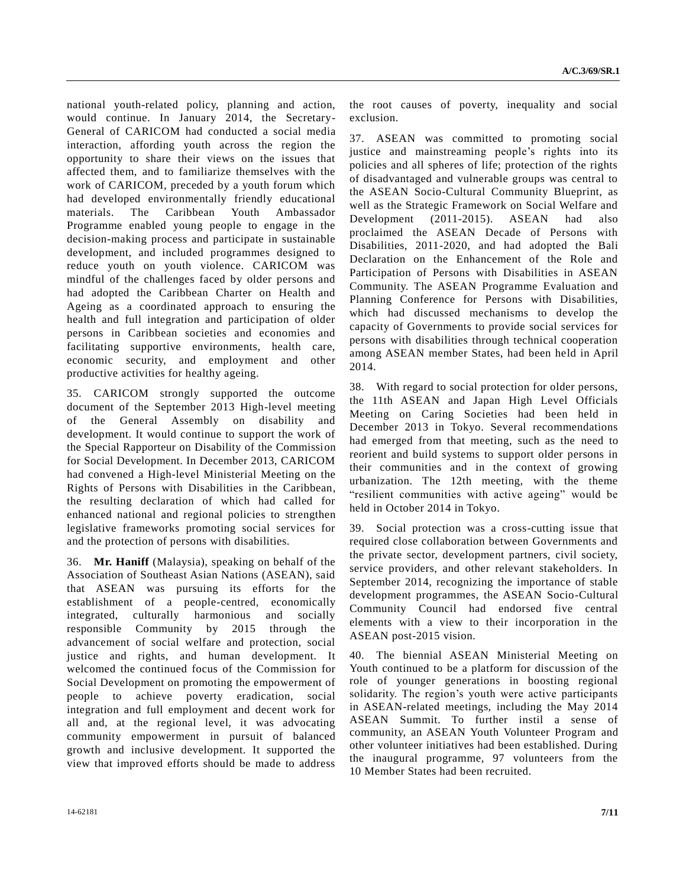national youth-related policy, planning and action, would continue. In January 2014, the Secretary-General of CARICOM had conducted a social media interaction, affording youth across the region the opportunity to share their views on the issues that affected them, and to familiarize themselves with the work of CARICOM, preceded by a youth forum which had developed environmentally friendly educational materials. The Caribbean Youth Ambassador Programme enabled young people to engage in the decision-making process and participate in sustainable development, and included programmes designed to reduce youth on youth violence. CARICOM was mindful of the challenges faced by older persons and had adopted the Caribbean Charter on Health and Ageing as a coordinated approach to ensuring the health and full integration and participation of older persons in Caribbean societies and economies and facilitating supportive environments, health care, economic security, and employment and other productive activities for healthy ageing.

35. CARICOM strongly supported the outcome document of the September 2013 High-level meeting of the General Assembly on disability and development. It would continue to support the work of the Special Rapporteur on Disability of the Commission for Social Development. In December 2013, CARICOM had convened a High-level Ministerial Meeting on the Rights of Persons with Disabilities in the Caribbean, the resulting declaration of which had called for enhanced national and regional policies to strengthen legislative frameworks promoting social services for and the protection of persons with disabilities.

36. **Mr. Haniff** (Malaysia), speaking on behalf of the Association of Southeast Asian Nations (ASEAN), said that ASEAN was pursuing its efforts for the establishment of a people-centred, economically integrated, culturally harmonious and socially responsible Community by 2015 through the advancement of social welfare and protection, social justice and rights, and human development. It welcomed the continued focus of the Commission for Social Development on promoting the empowerment of people to achieve poverty eradication, social integration and full employment and decent work for all and, at the regional level, it was advocating community empowerment in pursuit of balanced growth and inclusive development. It supported the view that improved efforts should be made to address

the root causes of poverty, inequality and social exclusion.

37. ASEAN was committed to promoting social justice and mainstreaming people's rights into its policies and all spheres of life; protection of the rights of disadvantaged and vulnerable groups was central to the ASEAN Socio-Cultural Community Blueprint, as well as the Strategic Framework on Social Welfare and Development (2011-2015). ASEAN had also proclaimed the ASEAN Decade of Persons with Disabilities, 2011-2020, and had adopted the Bali Declaration on the Enhancement of the Role and Participation of Persons with Disabilities in ASEAN Community. The ASEAN Programme Evaluation and Planning Conference for Persons with Disabilities, which had discussed mechanisms to develop the capacity of Governments to provide social services for persons with disabilities through technical cooperation among ASEAN member States, had been held in April 2014.

38. With regard to social protection for older persons, the 11th ASEAN and Japan High Level Officials Meeting on Caring Societies had been held in December 2013 in Tokyo. Several recommendations had emerged from that meeting, such as the need to reorient and build systems to support older persons in their communities and in the context of growing urbanization. The 12th meeting, with the theme "resilient communities with active ageing" would be held in October 2014 in Tokyo.

39. Social protection was a cross-cutting issue that required close collaboration between Governments and the private sector, development partners, civil society, service providers, and other relevant stakeholders. In September 2014, recognizing the importance of stable development programmes, the ASEAN Socio-Cultural Community Council had endorsed five central elements with a view to their incorporation in the ASEAN post-2015 vision.

40. The biennial ASEAN Ministerial Meeting on Youth continued to be a platform for discussion of the role of younger generations in boosting regional solidarity. The region's youth were active participants in ASEAN-related meetings, including the May 2014 ASEAN Summit. To further instil a sense of community, an ASEAN Youth Volunteer Program and other volunteer initiatives had been established. During the inaugural programme, 97 volunteers from the 10 Member States had been recruited.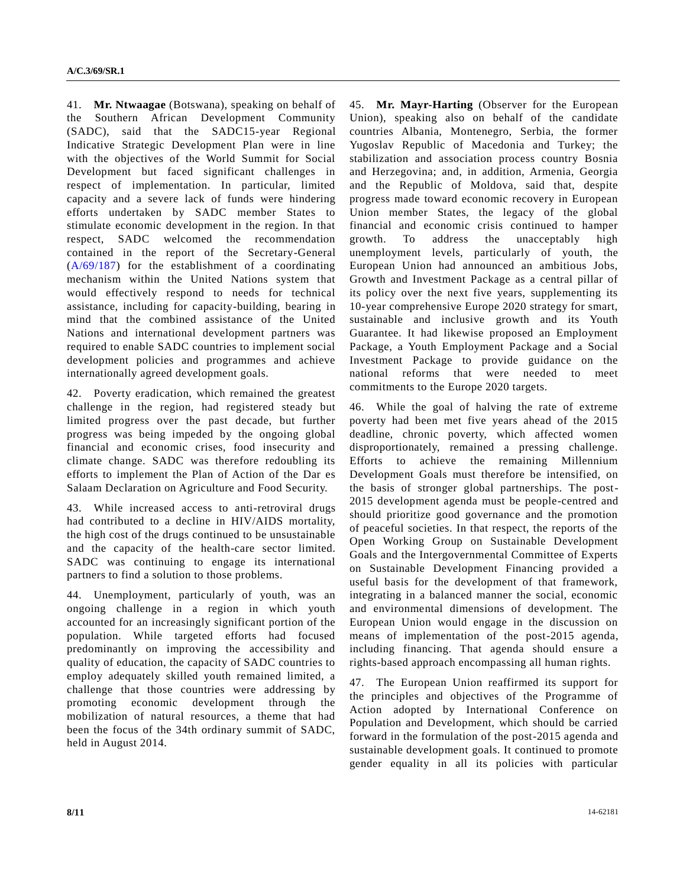41. **Mr. Ntwaagae** (Botswana), speaking on behalf of the Southern African Development Community (SADC), said that the SADC15-year Regional Indicative Strategic Development Plan were in line with the objectives of the World Summit for Social Development but faced significant challenges in respect of implementation. In particular, limited capacity and a severe lack of funds were hindering efforts undertaken by SADC member States to stimulate economic development in the region. In that respect, SADC welcomed the recommendation contained in the report of the Secretary-General [\(A/69/187\)](http://undocs.org/A/69/187) for the establishment of a coordinating mechanism within the United Nations system that would effectively respond to needs for technical assistance, including for capacity-building, bearing in mind that the combined assistance of the United Nations and international development partners was required to enable SADC countries to implement social development policies and programmes and achieve internationally agreed development goals.

42. Poverty eradication, which remained the greatest challenge in the region, had registered steady but limited progress over the past decade, but further progress was being impeded by the ongoing global financial and economic crises, food insecurity and climate change. SADC was therefore redoubling its efforts to implement the Plan of Action of the Dar es Salaam Declaration on Agriculture and Food Security.

43. While increased access to anti-retroviral drugs had contributed to a decline in HIV/AIDS mortality, the high cost of the drugs continued to be unsustainable and the capacity of the health-care sector limited. SADC was continuing to engage its international partners to find a solution to those problems.

44. Unemployment, particularly of youth, was an ongoing challenge in a region in which youth accounted for an increasingly significant portion of the population. While targeted efforts had focused predominantly on improving the accessibility and quality of education, the capacity of SADC countries to employ adequately skilled youth remained limited, a challenge that those countries were addressing by promoting economic development through the mobilization of natural resources, a theme that had been the focus of the 34th ordinary summit of SADC, held in August 2014.

45. **Mr. Mayr-Harting** (Observer for the European Union), speaking also on behalf of the candidate countries Albania, Montenegro, Serbia, the former Yugoslav Republic of Macedonia and Turkey; the stabilization and association process country Bosnia and Herzegovina; and, in addition, Armenia, Georgia and the Republic of Moldova, said that, despite progress made toward economic recovery in European Union member States, the legacy of the global financial and economic crisis continued to hamper growth. To address the unacceptably high unemployment levels, particularly of youth, the European Union had announced an ambitious Jobs, Growth and Investment Package as a central pillar of its policy over the next five years, supplementing its 10-year comprehensive Europe 2020 strategy for smart, sustainable and inclusive growth and its Youth Guarantee. It had likewise proposed an Employment Package, a Youth Employment Package and a Social Investment Package to provide guidance on the national reforms that were needed to meet commitments to the Europe 2020 targets.

46. While the goal of halving the rate of extreme poverty had been met five years ahead of the 2015 deadline, chronic poverty, which affected women disproportionately, remained a pressing challenge. Efforts to achieve the remaining Millennium Development Goals must therefore be intensified, on the basis of stronger global partnerships. The post-2015 development agenda must be people-centred and should prioritize good governance and the promotion of peaceful societies. In that respect, the reports of the Open Working Group on Sustainable Development Goals and the Intergovernmental Committee of Experts on Sustainable Development Financing provided a useful basis for the development of that framework, integrating in a balanced manner the social, economic and environmental dimensions of development. The European Union would engage in the discussion on means of implementation of the post-2015 agenda, including financing. That agenda should ensure a rights-based approach encompassing all human rights.

47. The European Union reaffirmed its support for the principles and objectives of the Programme of Action adopted by International Conference on Population and Development, which should be carried forward in the formulation of the post-2015 agenda and sustainable development goals. It continued to promote gender equality in all its policies with particular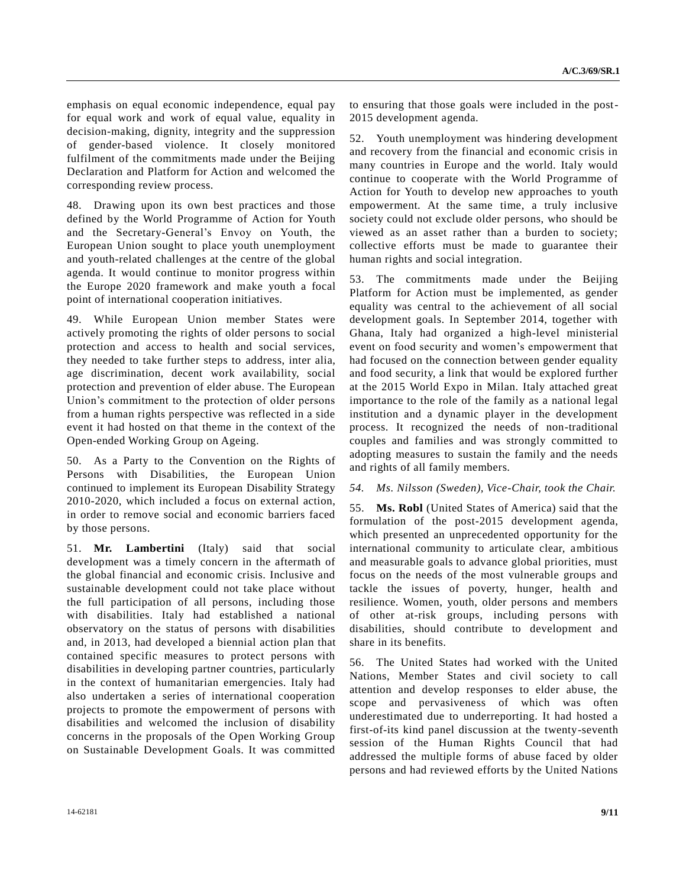emphasis on equal economic independence, equal pay for equal work and work of equal value, equality in decision-making, dignity, integrity and the suppression of gender-based violence. It closely monitored fulfilment of the commitments made under the Beijing Declaration and Platform for Action and welcomed the corresponding review process.

48. Drawing upon its own best practices and those defined by the World Programme of Action for Youth and the Secretary-General's Envoy on Youth, the European Union sought to place youth unemployment and youth-related challenges at the centre of the global agenda. It would continue to monitor progress within the Europe 2020 framework and make youth a focal point of international cooperation initiatives.

49. While European Union member States were actively promoting the rights of older persons to social protection and access to health and social services, they needed to take further steps to address, inter alia, age discrimination, decent work availability, social protection and prevention of elder abuse. The European Union's commitment to the protection of older persons from a human rights perspective was reflected in a side event it had hosted on that theme in the context of the Open-ended Working Group on Ageing.

50. As a Party to the Convention on the Rights of Persons with Disabilities, the European Union continued to implement its European Disability Strategy 2010-2020, which included a focus on external action, in order to remove social and economic barriers faced by those persons.

51. **Mr. Lambertini** (Italy) said that social development was a timely concern in the aftermath of the global financial and economic crisis. Inclusive and sustainable development could not take place without the full participation of all persons, including those with disabilities. Italy had established a national observatory on the status of persons with disabilities and, in 2013, had developed a biennial action plan that contained specific measures to protect persons with disabilities in developing partner countries, particularly in the context of humanitarian emergencies. Italy had also undertaken a series of international cooperation projects to promote the empowerment of persons with disabilities and welcomed the inclusion of disability concerns in the proposals of the Open Working Group on Sustainable Development Goals. It was committed

52. Youth unemployment was hindering development and recovery from the financial and economic crisis in many countries in Europe and the world. Italy would continue to cooperate with the World Programme of Action for Youth to develop new approaches to youth empowerment. At the same time, a truly inclusive society could not exclude older persons, who should be viewed as an asset rather than a burden to society; collective efforts must be made to guarantee their human rights and social integration.

53. The commitments made under the Beijing Platform for Action must be implemented, as gender equality was central to the achievement of all social development goals. In September 2014, together with Ghana, Italy had organized a high-level ministerial event on food security and women's empowerment that had focused on the connection between gender equality and food security, a link that would be explored further at the 2015 World Expo in Milan. Italy attached great importance to the role of the family as a national legal institution and a dynamic player in the development process. It recognized the needs of non-traditional couples and families and was strongly committed to adopting measures to sustain the family and the needs and rights of all family members.

#### *54. Ms. Nilsson (Sweden), Vice-Chair, took the Chair.*

55. **Ms. Robl** (United States of America) said that the formulation of the post-2015 development agenda, which presented an unprecedented opportunity for the international community to articulate clear, ambitious and measurable goals to advance global priorities, must focus on the needs of the most vulnerable groups and tackle the issues of poverty, hunger, health and resilience. Women, youth, older persons and members of other at-risk groups, including persons with disabilities, should contribute to development and share in its benefits.

56. The United States had worked with the United Nations, Member States and civil society to call attention and develop responses to elder abuse, the scope and pervasiveness of which was often underestimated due to underreporting. It had hosted a first-of-its kind panel discussion at the twenty-seventh session of the Human Rights Council that had addressed the multiple forms of abuse faced by older persons and had reviewed efforts by the United Nations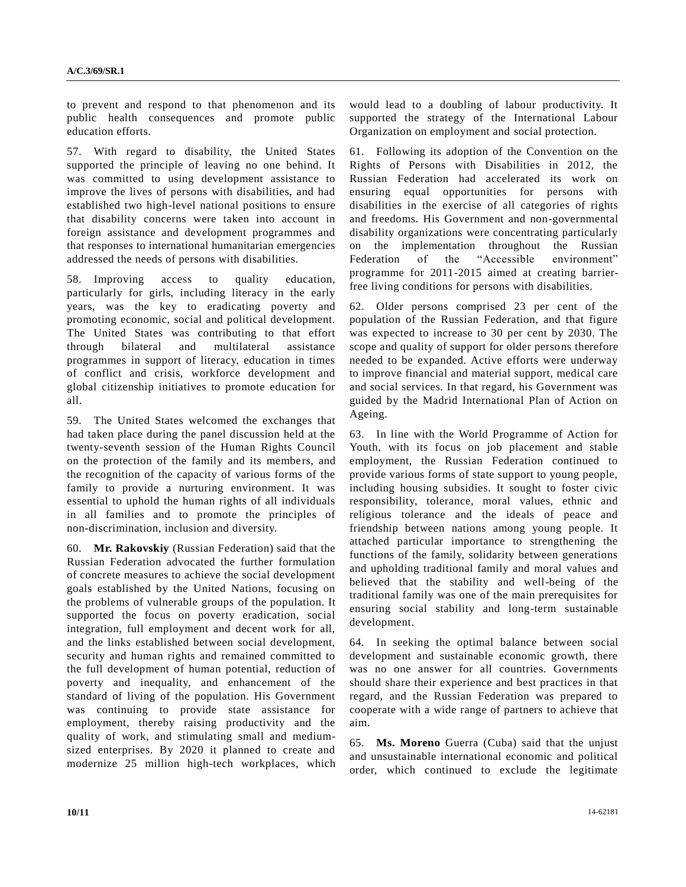to prevent and respond to that phenomenon and its public health consequences and promote public education efforts.

57. With regard to disability, the United States supported the principle of leaving no one behind. It was committed to using development assistance to improve the lives of persons with disabilities, and had established two high-level national positions to ensure that disability concerns were taken into account in foreign assistance and development programmes and that responses to international humanitarian emergencies addressed the needs of persons with disabilities.

58. Improving access to quality education, particularly for girls, including literacy in the early years, was the key to eradicating poverty and promoting economic, social and political development. The United States was contributing to that effort through bilateral and multilateral assistance programmes in support of literacy, education in times of conflict and crisis, workforce development and global citizenship initiatives to promote education for all.

59. The United States welcomed the exchanges that had taken place during the panel discussion held at the twenty-seventh session of the Human Rights Council on the protection of the family and its members, and the recognition of the capacity of various forms of the family to provide a nurturing environment. It was essential to uphold the human rights of all individuals in all families and to promote the principles of non-discrimination, inclusion and diversity.

60. **Mr. Rakovskiy** (Russian Federation) said that the Russian Federation advocated the further formulation of concrete measures to achieve the social development goals established by the United Nations, focusing on the problems of vulnerable groups of the population. It supported the focus on poverty eradication, social integration, full employment and decent work for all, and the links established between social development, security and human rights and remained committed to the full development of human potential, reduction of poverty and inequality, and enhancement of the standard of living of the population. His Government was continuing to provide state assistance for employment, thereby raising productivity and the quality of work, and stimulating small and mediumsized enterprises. By 2020 it planned to create and modernize 25 million high-tech workplaces, which

**10/11** 14-62181

would lead to a doubling of labour productivity. It supported the strategy of the International Labour Organization on employment and social protection.

61. Following its adoption of the Convention on the Rights of Persons with Disabilities in 2012, the Russian Federation had accelerated its work on ensuring equal opportunities for persons with disabilities in the exercise of all categories of rights and freedoms. His Government and non-governmental disability organizations were concentrating particularly on the implementation throughout the Russian Federation of the "Accessible environment" programme for 2011-2015 aimed at creating barrierfree living conditions for persons with disabilities.

62. Older persons comprised 23 per cent of the population of the Russian Federation, and that figure was expected to increase to 30 per cent by 2030. The scope and quality of support for older persons therefore needed to be expanded. Active efforts were underway to improve financial and material support, medical care and social services. In that regard, his Government was guided by the Madrid International Plan of Action on Ageing.

63. In line with the World Programme of Action for Youth, with its focus on job placement and stable employment, the Russian Federation continued to provide various forms of state support to young people, including housing subsidies. It sought to foster civic responsibility, tolerance, moral values, ethnic and religious tolerance and the ideals of peace and friendship between nations among young people. It attached particular importance to strengthening the functions of the family, solidarity between generations and upholding traditional family and moral values and believed that the stability and well-being of the traditional family was one of the main prerequisites for ensuring social stability and long-term sustainable development.

64. In seeking the optimal balance between social development and sustainable economic growth, there was no one answer for all countries. Governments should share their experience and best practices in that regard, and the Russian Federation was prepared to cooperate with a wide range of partners to achieve that aim.

65. **Ms. Moreno** Guerra (Cuba) said that the unjust and unsustainable international economic and political order, which continued to exclude the legitimate